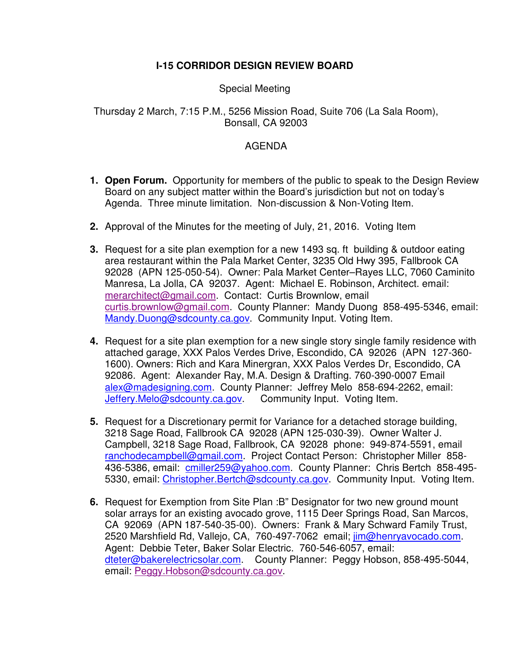## **I-15 CORRIDOR DESIGN REVIEW BOARD**

## Special Meeting

## Thursday 2 March, 7:15 P.M., 5256 Mission Road, Suite 706 (La Sala Room), Bonsall, CA 92003

## AGENDA

- **1. Open Forum.** Opportunity for members of the public to speak to the Design Review Board on any subject matter within the Board's jurisdiction but not on today's Agenda. Three minute limitation. Non-discussion & Non-Voting Item.
- **2.** Approval of the Minutes for the meeting of July, 21, 2016. Voting Item
- **3.** Request for a site plan exemption for a new 1493 sq. ft building & outdoor eating area restaurant within the Pala Market Center, 3235 Old Hwy 395, Fallbrook CA 92028 (APN 125-050-54). Owner: Pala Market Center–Rayes LLC, 7060 Caminito Manresa, La Jolla, CA 92037. Agent: Michael E. Robinson, Architect. email: merarchitect@gmail.com. Contact: Curtis Brownlow, email curtis.brownlow@gmail.com. County Planner: Mandy Duong 858-495-5346, email: Mandy.Duong@sdcounty.ca.gov. Community Input. Voting Item.
- **4.** Request for a site plan exemption for a new single story single family residence with attached garage, XXX Palos Verdes Drive, Escondido, CA 92026 (APN 127-360- 1600). Owners: Rich and Kara Minergran, XXX Palos Verdes Dr, Escondido, CA 92086. Agent: Alexander Ray, M.A. Design & Drafting. 760-390-0007 Email alex@madesigning.com. County Planner: Jeffrey Melo 858-694-2262, email: Jeffery.Melo@sdcounty.ca.gov. Community Input. Voting Item.
- **5.** Request for a Discretionary permit for Variance for a detached storage building, 3218 Sage Road, Fallbrook CA 92028 (APN 125-030-39). Owner Walter J. Campbell, 3218 Sage Road, Fallbrook, CA 92028 phone: 949-874-5591, email ranchodecampbell@gmail.com. Project Contact Person: Christopher Miller 858- 436-5386, email: cmiller259@yahoo.com. County Planner: Chris Bertch 858-495-5330, email: Christopher. Bertch@sdcounty.ca.gov. Community Input. Voting Item.
- **6.** Request for Exemption from Site Plan :B" Designator for two new ground mount solar arrays for an existing avocado grove, 1115 Deer Springs Road, San Marcos, CA 92069 (APN 187-540-35-00). Owners: Frank & Mary Schward Family Trust, 2520 Marshfield Rd, Vallejo, CA, 760-497-7062 email; jim@henryavocado.com. Agent: Debbie Teter, Baker Solar Electric. 760-546-6057, email: dteter@bakerelectricsolar.com. County Planner: Peggy Hobson, 858-495-5044, email: Peggy.Hobson@sdcounty.ca.gov.